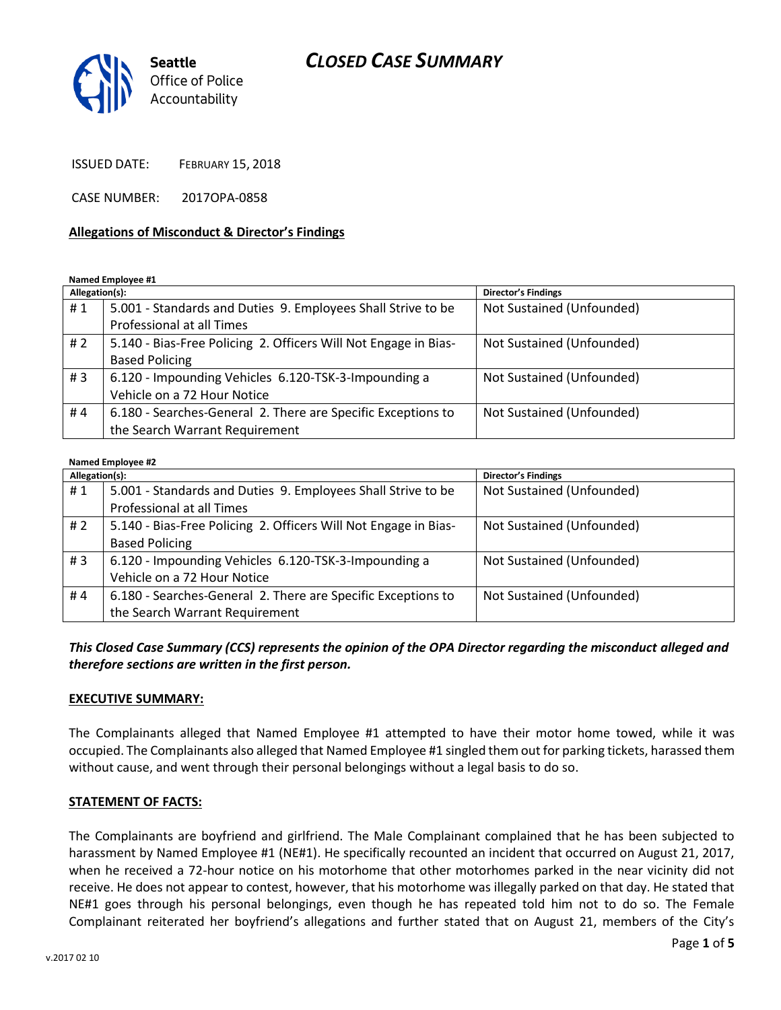## *CLOSED CASE SUMMARY*



ISSUED DATE: FEBRUARY 15, 2018

CASE NUMBER: 2017OPA-0858

#### **Allegations of Misconduct & Director's Findings**

**Named Employee #1**

| Allegation(s): |                                                                 | <b>Director's Findings</b> |
|----------------|-----------------------------------------------------------------|----------------------------|
| #1             | 5.001 - Standards and Duties 9. Employees Shall Strive to be    | Not Sustained (Unfounded)  |
|                | Professional at all Times                                       |                            |
| #2             | 5.140 - Bias-Free Policing 2. Officers Will Not Engage in Bias- | Not Sustained (Unfounded)  |
|                | <b>Based Policing</b>                                           |                            |
| #3             | 6.120 - Impounding Vehicles 6.120-TSK-3-Impounding a            | Not Sustained (Unfounded)  |
|                | Vehicle on a 72 Hour Notice                                     |                            |
| #4             | 6.180 - Searches-General 2. There are Specific Exceptions to    | Not Sustained (Unfounded)  |
|                | the Search Warrant Requirement                                  |                            |

#### **Named Employee #2**

| Allegation(s): |                                                                 | Director's Findings       |
|----------------|-----------------------------------------------------------------|---------------------------|
| #1             | 5.001 - Standards and Duties 9. Employees Shall Strive to be    | Not Sustained (Unfounded) |
|                | Professional at all Times                                       |                           |
| # $2$          | 5.140 - Bias-Free Policing 2. Officers Will Not Engage in Bias- | Not Sustained (Unfounded) |
|                | <b>Based Policing</b>                                           |                           |
| #3             | 6.120 - Impounding Vehicles 6.120-TSK-3-Impounding a            | Not Sustained (Unfounded) |
|                | Vehicle on a 72 Hour Notice                                     |                           |
| #4             | 6.180 - Searches-General 2. There are Specific Exceptions to    | Not Sustained (Unfounded) |
|                | the Search Warrant Requirement                                  |                           |

*This Closed Case Summary (CCS) represents the opinion of the OPA Director regarding the misconduct alleged and therefore sections are written in the first person.* 

#### **EXECUTIVE SUMMARY:**

The Complainants alleged that Named Employee #1 attempted to have their motor home towed, while it was occupied. The Complainants also alleged that Named Employee #1 singled them out for parking tickets, harassed them without cause, and went through their personal belongings without a legal basis to do so.

#### **STATEMENT OF FACTS:**

The Complainants are boyfriend and girlfriend. The Male Complainant complained that he has been subjected to harassment by Named Employee #1 (NE#1). He specifically recounted an incident that occurred on August 21, 2017, when he received a 72-hour notice on his motorhome that other motorhomes parked in the near vicinity did not receive. He does not appear to contest, however, that his motorhome was illegally parked on that day. He stated that NE#1 goes through his personal belongings, even though he has repeated told him not to do so. The Female Complainant reiterated her boyfriend's allegations and further stated that on August 21, members of the City's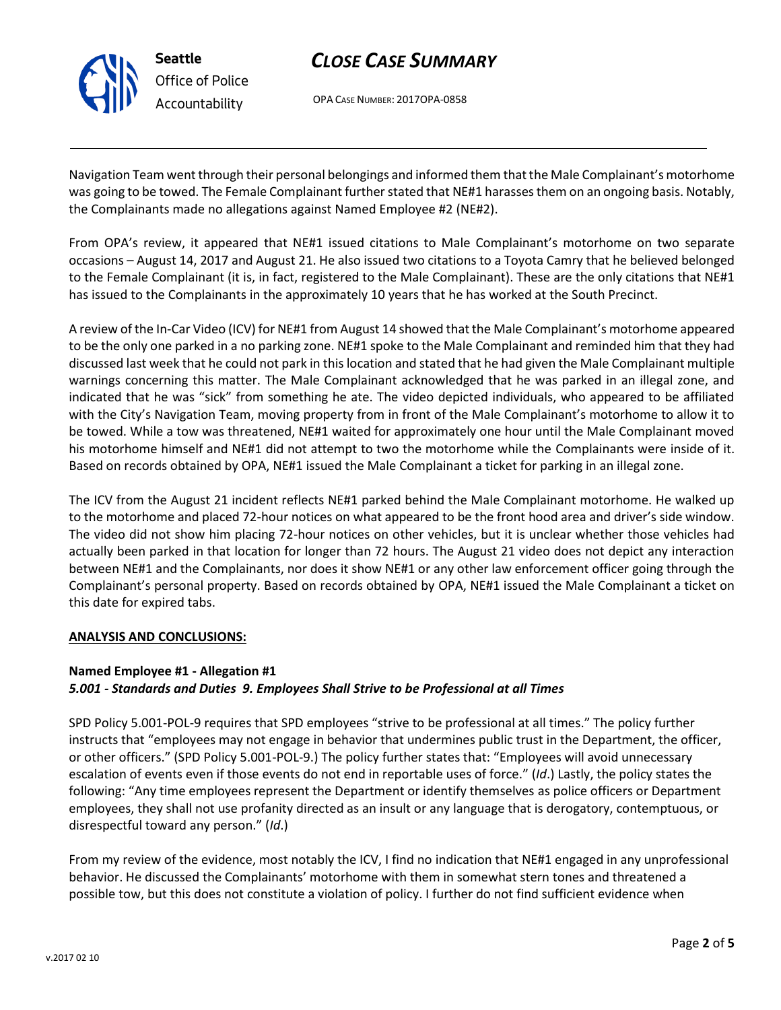

# *CLOSE CASE SUMMARY*

OPA CASE NUMBER: 2017OPA-0858

Navigation Team went through their personal belongings and informed them that the Male Complainant's motorhome was going to be towed. The Female Complainant further stated that NE#1 harasses them on an ongoing basis. Notably, the Complainants made no allegations against Named Employee #2 (NE#2).

From OPA's review, it appeared that NE#1 issued citations to Male Complainant's motorhome on two separate occasions – August 14, 2017 and August 21. He also issued two citations to a Toyota Camry that he believed belonged to the Female Complainant (it is, in fact, registered to the Male Complainant). These are the only citations that NE#1 has issued to the Complainants in the approximately 10 years that he has worked at the South Precinct.

A review of the In-Car Video (ICV) for NE#1 from August 14 showed that the Male Complainant's motorhome appeared to be the only one parked in a no parking zone. NE#1 spoke to the Male Complainant and reminded him that they had discussed last week that he could not park in this location and stated that he had given the Male Complainant multiple warnings concerning this matter. The Male Complainant acknowledged that he was parked in an illegal zone, and indicated that he was "sick" from something he ate. The video depicted individuals, who appeared to be affiliated with the City's Navigation Team, moving property from in front of the Male Complainant's motorhome to allow it to be towed. While a tow was threatened, NE#1 waited for approximately one hour until the Male Complainant moved his motorhome himself and NE#1 did not attempt to two the motorhome while the Complainants were inside of it. Based on records obtained by OPA, NE#1 issued the Male Complainant a ticket for parking in an illegal zone.

The ICV from the August 21 incident reflects NE#1 parked behind the Male Complainant motorhome. He walked up to the motorhome and placed 72-hour notices on what appeared to be the front hood area and driver's side window. The video did not show him placing 72-hour notices on other vehicles, but it is unclear whether those vehicles had actually been parked in that location for longer than 72 hours. The August 21 video does not depict any interaction between NE#1 and the Complainants, nor does it show NE#1 or any other law enforcement officer going through the Complainant's personal property. Based on records obtained by OPA, NE#1 issued the Male Complainant a ticket on this date for expired tabs.

#### **ANALYSIS AND CONCLUSIONS:**

## **Named Employee #1 - Allegation #1** *5.001 - Standards and Duties 9. Employees Shall Strive to be Professional at all Times*

SPD Policy 5.001-POL-9 requires that SPD employees "strive to be professional at all times." The policy further instructs that "employees may not engage in behavior that undermines public trust in the Department, the officer, or other officers." (SPD Policy 5.001-POL-9.) The policy further states that: "Employees will avoid unnecessary escalation of events even if those events do not end in reportable uses of force." (*Id*.) Lastly, the policy states the following: "Any time employees represent the Department or identify themselves as police officers or Department employees, they shall not use profanity directed as an insult or any language that is derogatory, contemptuous, or disrespectful toward any person." (*Id*.)

From my review of the evidence, most notably the ICV, I find no indication that NE#1 engaged in any unprofessional behavior. He discussed the Complainants' motorhome with them in somewhat stern tones and threatened a possible tow, but this does not constitute a violation of policy. I further do not find sufficient evidence when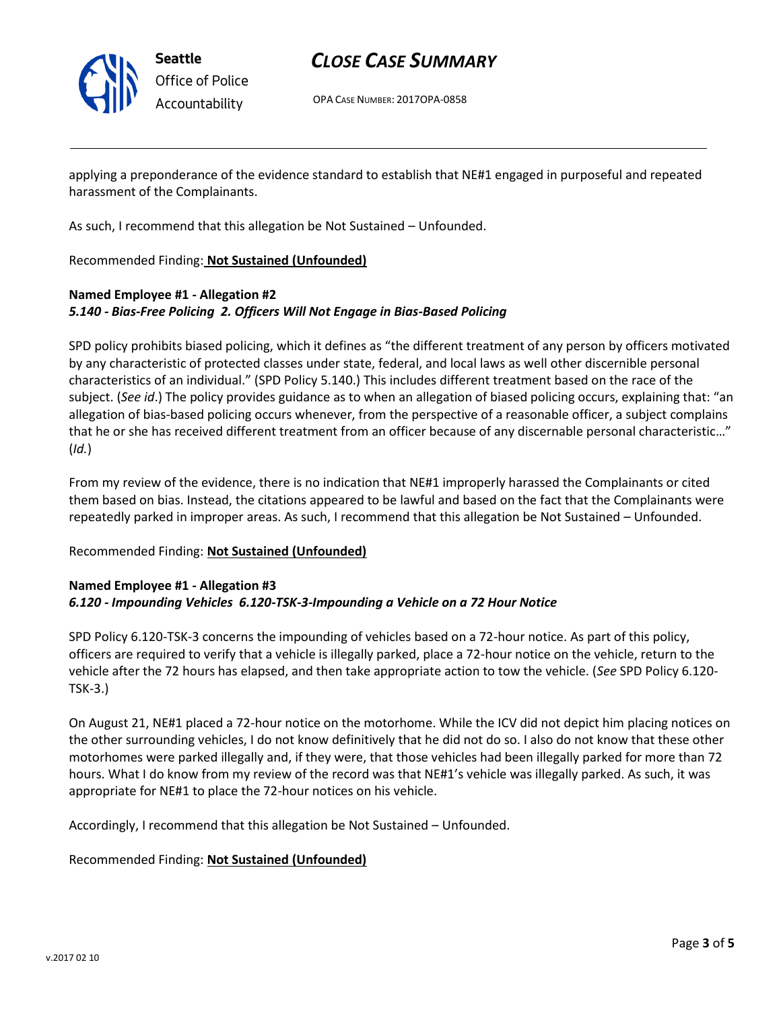

## *CLOSE CASE SUMMARY*

OPA CASE NUMBER: 2017OPA-0858

applying a preponderance of the evidence standard to establish that NE#1 engaged in purposeful and repeated harassment of the Complainants.

As such, I recommend that this allegation be Not Sustained – Unfounded.

Recommended Finding: **Not Sustained (Unfounded)**

## **Named Employee #1 - Allegation #2** *5.140 - Bias-Free Policing 2. Officers Will Not Engage in Bias-Based Policing*

SPD policy prohibits biased policing, which it defines as "the different treatment of any person by officers motivated by any characteristic of protected classes under state, federal, and local laws as well other discernible personal characteristics of an individual." (SPD Policy 5.140.) This includes different treatment based on the race of the subject. (*See id*.) The policy provides guidance as to when an allegation of biased policing occurs, explaining that: "an allegation of bias-based policing occurs whenever, from the perspective of a reasonable officer, a subject complains that he or she has received different treatment from an officer because of any discernable personal characteristic…" (*Id.*)

From my review of the evidence, there is no indication that NE#1 improperly harassed the Complainants or cited them based on bias. Instead, the citations appeared to be lawful and based on the fact that the Complainants were repeatedly parked in improper areas. As such, I recommend that this allegation be Not Sustained – Unfounded.

## Recommended Finding: **Not Sustained (Unfounded)**

### **Named Employee #1 - Allegation #3** *6.120 - Impounding Vehicles 6.120-TSK-3-Impounding a Vehicle on a 72 Hour Notice*

SPD Policy 6.120-TSK-3 concerns the impounding of vehicles based on a 72-hour notice. As part of this policy, officers are required to verify that a vehicle is illegally parked, place a 72-hour notice on the vehicle, return to the vehicle after the 72 hours has elapsed, and then take appropriate action to tow the vehicle. (*See* SPD Policy 6.120- TSK-3.)

On August 21, NE#1 placed a 72-hour notice on the motorhome. While the ICV did not depict him placing notices on the other surrounding vehicles, I do not know definitively that he did not do so. I also do not know that these other motorhomes were parked illegally and, if they were, that those vehicles had been illegally parked for more than 72 hours. What I do know from my review of the record was that NE#1's vehicle was illegally parked. As such, it was appropriate for NE#1 to place the 72-hour notices on his vehicle.

Accordingly, I recommend that this allegation be Not Sustained – Unfounded.

Recommended Finding: **Not Sustained (Unfounded)**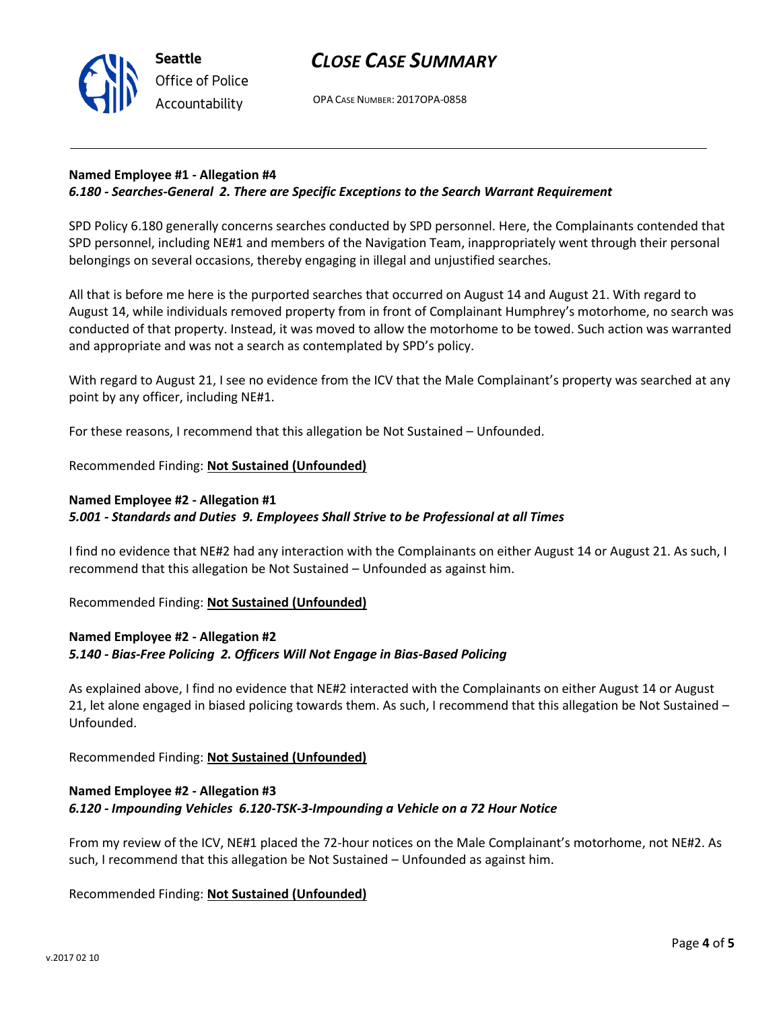



OPA CASE NUMBER: 2017OPA-0858

### **Named Employee #1 - Allegation #4**

### *6.180 - Searches-General 2. There are Specific Exceptions to the Search Warrant Requirement*

SPD Policy 6.180 generally concerns searches conducted by SPD personnel. Here, the Complainants contended that SPD personnel, including NE#1 and members of the Navigation Team, inappropriately went through their personal belongings on several occasions, thereby engaging in illegal and unjustified searches.

All that is before me here is the purported searches that occurred on August 14 and August 21. With regard to August 14, while individuals removed property from in front of Complainant Humphrey's motorhome, no search was conducted of that property. Instead, it was moved to allow the motorhome to be towed. Such action was warranted and appropriate and was not a search as contemplated by SPD's policy.

With regard to August 21, I see no evidence from the ICV that the Male Complainant's property was searched at any point by any officer, including NE#1.

For these reasons, I recommend that this allegation be Not Sustained – Unfounded.

#### Recommended Finding: **Not Sustained (Unfounded)**

#### **Named Employee #2 - Allegation #1**

#### *5.001 - Standards and Duties 9. Employees Shall Strive to be Professional at all Times*

I find no evidence that NE#2 had any interaction with the Complainants on either August 14 or August 21. As such, I recommend that this allegation be Not Sustained – Unfounded as against him.

Recommended Finding: **Not Sustained (Unfounded)**

## **Named Employee #2 - Allegation #2** *5.140 - Bias-Free Policing 2. Officers Will Not Engage in Bias-Based Policing*

As explained above, I find no evidence that NE#2 interacted with the Complainants on either August 14 or August 21, let alone engaged in biased policing towards them. As such, I recommend that this allegation be Not Sustained – Unfounded.

Recommended Finding: **Not Sustained (Unfounded)**

### **Named Employee #2 - Allegation #3** *6.120 - Impounding Vehicles 6.120-TSK-3-Impounding a Vehicle on a 72 Hour Notice*

From my review of the ICV, NE#1 placed the 72-hour notices on the Male Complainant's motorhome, not NE#2. As such, I recommend that this allegation be Not Sustained – Unfounded as against him.

Recommended Finding: **Not Sustained (Unfounded)**